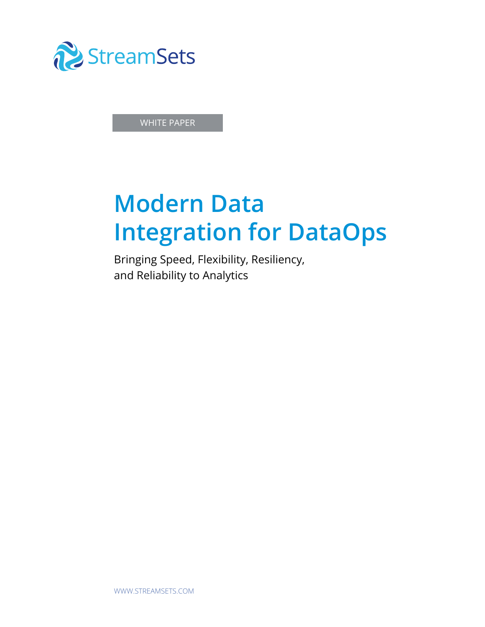

WHITE PAPER

# **Modern Data Integration for DataOps**

Bringing Speed, Flexibility, Resiliency, and Reliability to Analytics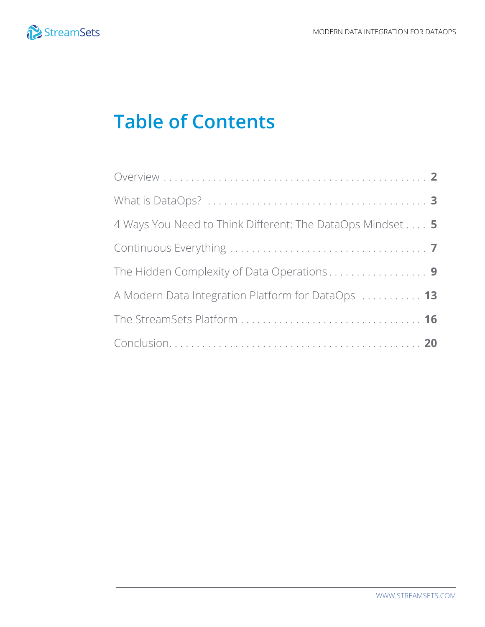

### **Table of Contents**

| 4 Ways You Need to Think Different: The DataOps Mindset 5 |  |
|-----------------------------------------------------------|--|
|                                                           |  |
|                                                           |  |
| A Modern Data Integration Platform for DataOps  13        |  |
|                                                           |  |
|                                                           |  |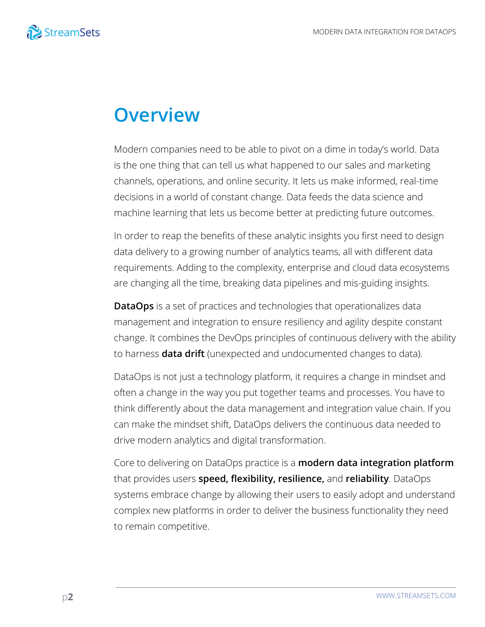

### **Overview**

Modern companies need to be able to pivot on a dime in today's world. Data is the one thing that can tell us what happened to our sales and marketing channels, operations, and online security. It lets us make informed, real-time decisions in a world of constant change. Data feeds the data science and machine learning that lets us become better at predicting future outcomes.

In order to reap the benefits of these analytic insights you first need to design data delivery to a growing number of analytics teams, all with different data requirements. Adding to the complexity, enterprise and cloud data ecosystems are changing all the time, breaking data pipelines and mis-guiding insights.

**DataOps** is a set of practices and technologies that operationalizes data management and integration to ensure resiliency and agility despite constant change. It combines the DevOps principles of continuous delivery with the ability to harness **data drift** (unexpected and undocumented changes to data).

DataOps is not just a technology platform, it requires a change in mindset and often a change in the way you put together teams and processes. You have to think differently about the data management and integration value chain. If you can make the mindset shift, DataOps delivers the continuous data needed to drive modern analytics and digital transformation.

Core to delivering on DataOps practice is a **modern data integration platform** that provides users **speed, flexibility, resilience,** and **reliability**. DataOps systems embrace change by allowing their users to easily adopt and understand complex new platforms in order to deliver the business functionality they need to remain competitive.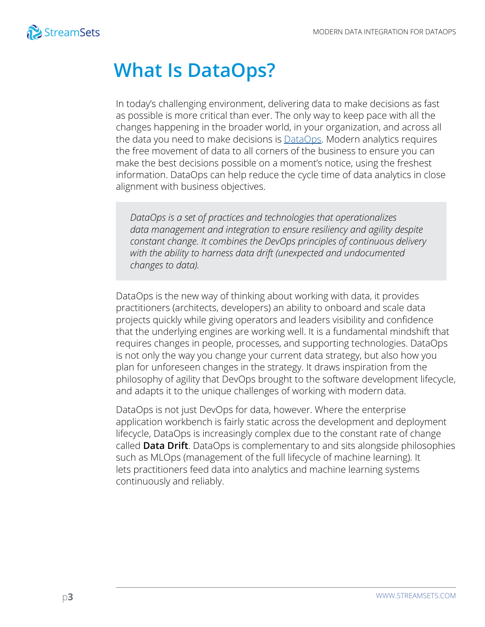

### **What Is DataOps?**

In today's challenging environment, delivering data to make decisions as fast as possible is more critical than ever. The only way to keep pace with all the changes happening in the broader world, in your organization, and across all the data you need to make decisions is **[DataOps](https://streamsets.com/why-dataops/what-is-dataops/)**. Modern analytics requires the free movement of data to all corners of the business to ensure you can make the best decisions possible on a moment's notice, using the freshest information. DataOps can help reduce the cycle time of data analytics in close alignment with business objectives.

*DataOps is a set of practices and technologies that operationalizes data management and integration to ensure resiliency and agility despite constant change. It combines the DevOps principles of continuous delivery with the ability to harness data drift (unexpected and undocumented changes to data).* 

DataOps is the new way of thinking about working with data, it provides practitioners (architects, developers) an ability to onboard and scale data projects quickly while giving operators and leaders visibility and confidence that the underlying engines are working well. It is a fundamental mindshift that requires changes in people, processes, and supporting technologies. DataOps is not only the way you change your current data strategy, but also how you plan for unforeseen changes in the strategy. It draws inspiration from the philosophy of agility that DevOps brought to the software development lifecycle, and adapts it to the unique challenges of working with modern data.

DataOps is not just DevOps for data, however. Where the enterprise application workbench is fairly static across the development and deployment lifecycle, DataOps is increasingly complex due to the constant rate of change called **Data Drift**. DataOps is complementary to and sits alongside philosophies such as MLOps (management of the full lifecycle of machine learning). It lets practitioners feed data into analytics and machine learning systems continuously and reliably.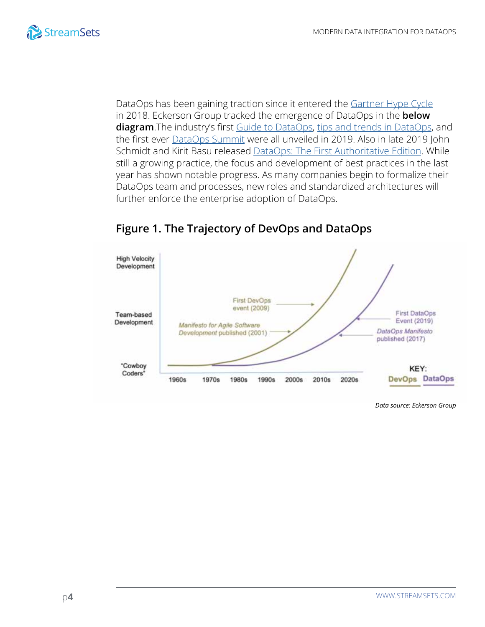

DataOps has been gaining traction since it entered the [Gartner Hype Cycle](https://www.gartner.com/document/3884077) in 2018. Eckerson Group tracked the emergence of DataOps in the **below diagram**.The industry's first [Guide to DataOps,](https://go.streamsets.com/eckerson-ultimate-guide-to-dataops.html) [tips and trends in DataOps](https://go.streamsets.com/eckerson-report-trends-in-dataops.html), and the first ever **[DataOps Summit](https://streamsets.com/dataops-summit-2019/)** were all unveiled in 2019. Also in late 2019 John Schmidt and Kirit Basu released [DataOps: The First Authoritative Edition](https://www.amazon.com/DataOps-Authoritative-John-Schmidt-ebook/dp/B07X1SRSXH). While still a growing practice, the focus and development of best practices in the last year has shown notable progress. As many companies begin to formalize their DataOps team and processes, new roles and standardized architectures will further enforce the enterprise adoption of DataOps.



### **Figure 1. The Trajectory of DevOps and DataOps**

*Data source: Eckerson Group*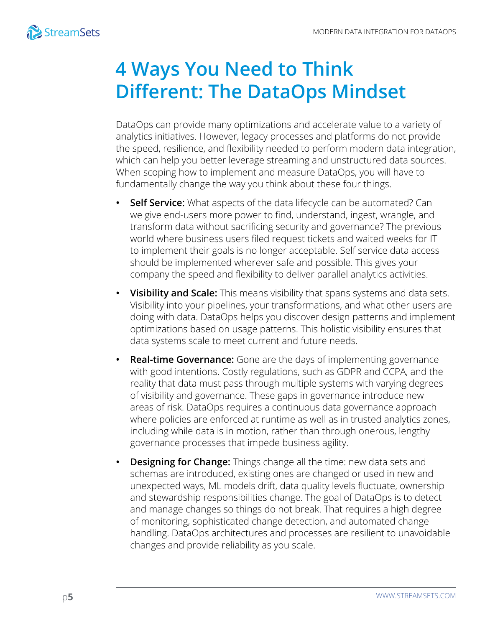# **4 Ways You Need to Think Different: The DataOps Mindset**

DataOps can provide many optimizations and accelerate value to a variety of analytics initiatives. However, legacy processes and platforms do not provide the speed, resilience, and flexibility needed to perform modern data integration, which can help you better leverage streaming and unstructured data sources. When scoping how to implement and measure DataOps, you will have to fundamentally change the way you think about these four things.

- **• Self Service:** What aspects of the data lifecycle can be automated? Can we give end-users more power to find, understand, ingest, wrangle, and transform data without sacrificing security and governance? The previous world where business users filed request tickets and waited weeks for IT to implement their goals is no longer acceptable. Self service data access should be implemented wherever safe and possible. This gives your company the speed and flexibility to deliver parallel analytics activities.
- **• Visibility and Scale:** This means visibility that spans systems and data sets. Visibility into your pipelines, your transformations, and what other users are doing with data. DataOps helps you discover design patterns and implement optimizations based on usage patterns. This holistic visibility ensures that data systems scale to meet current and future needs.
- **• Real-time Governance:** Gone are the days of implementing governance with good intentions. Costly regulations, such as GDPR and CCPA, and the reality that data must pass through multiple systems with varying degrees of visibility and governance. These gaps in governance introduce new areas of risk. DataOps requires a continuous data governance approach where policies are enforced at runtime as well as in trusted analytics zones, including while data is in motion, rather than through onerous, lengthy governance processes that impede business agility.
- **• Designing for Change:** Things change all the time: new data sets and schemas are introduced, existing ones are changed or used in new and unexpected ways, ML models drift, data quality levels fluctuate, ownership and stewardship responsibilities change. The goal of DataOps is to detect and manage changes so things do not break. That requires a high degree of monitoring, sophisticated change detection, and automated change handling. DataOps architectures and processes are resilient to unavoidable changes and provide reliability as you scale.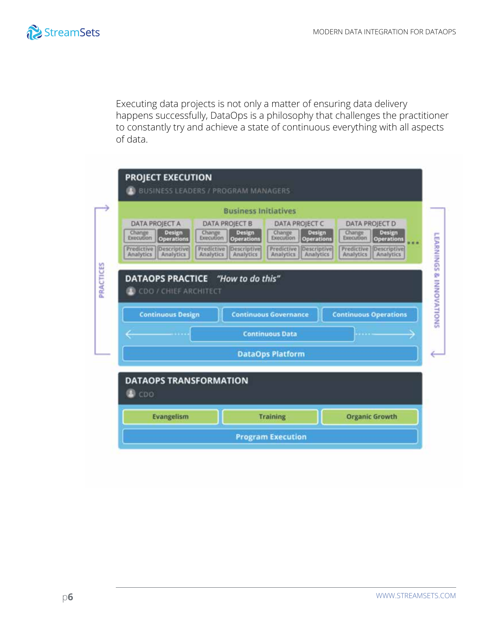

Executing data projects is not only a matter of ensuring data delivery happens successfully, DataOps is a philosophy that challenges the practitioner to constantly try and achieve a state of continuous everything with all aspects of data.

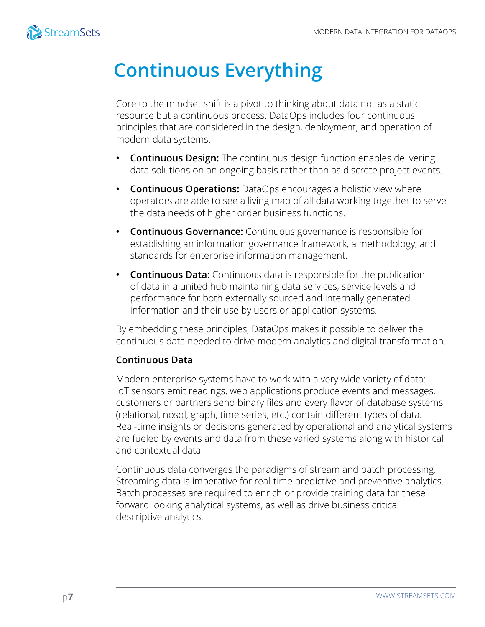

# **Continuous Everything**

Core to the mindset shift is a pivot to thinking about data not as a static resource but a continuous process. DataOps includes four continuous principles that are considered in the design, deployment, and operation of modern data systems.

- **• Continuous Design:** The continuous design function enables delivering data solutions on an ongoing basis rather than as discrete project events.
- **Continuous Operations:** DataOps encourages a holistic view where operators are able to see a living map of all data working together to serve the data needs of higher order business functions.
- **• Continuous Governance:** Continuous governance is responsible for establishing an information governance framework, a methodology, and standards for enterprise information management.
- **• Continuous Data:** Continuous data is responsible for the publication of data in a united hub maintaining data services, service levels and performance for both externally sourced and internally generated information and their use by users or application systems.

By embedding these principles, DataOps makes it possible to deliver the continuous data needed to drive modern analytics and digital transformation.

### **Continuous Data**

Modern enterprise systems have to work with a very wide variety of data: IoT sensors emit readings, web applications produce events and messages, customers or partners send binary files and every flavor of database systems (relational, nosql, graph, time series, etc.) contain different types of data. Real-time insights or decisions generated by operational and analytical systems are fueled by events and data from these varied systems along with historical and contextual data.

Continuous data converges the paradigms of stream and batch processing. Streaming data is imperative for real-time predictive and preventive analytics. Batch processes are required to enrich or provide training data for these forward looking analytical systems, as well as drive business critical descriptive analytics.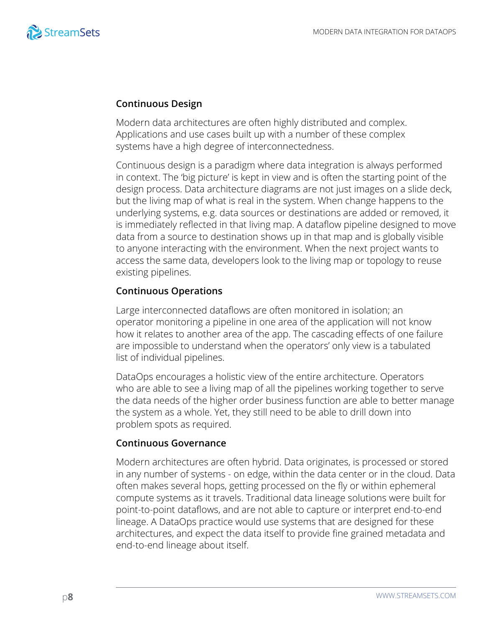

#### **Continuous Design**

Modern data architectures are often highly distributed and complex. Applications and use cases built up with a number of these complex systems have a high degree of interconnectedness.

Continuous design is a paradigm where data integration is always performed in context. The 'big picture' is kept in view and is often the starting point of the design process. Data architecture diagrams are not just images on a slide deck, but the living map of what is real in the system. When change happens to the underlying systems, e.g. data sources or destinations are added or removed, it is immediately reflected in that living map. A dataflow pipeline designed to move data from a source to destination shows up in that map and is globally visible to anyone interacting with the environment. When the next project wants to access the same data, developers look to the living map or topology to reuse existing pipelines.

#### **Continuous Operations**

Large interconnected dataflows are often monitored in isolation; an operator monitoring a pipeline in one area of the application will not know how it relates to another area of the app. The cascading effects of one failure are impossible to understand when the operators' only view is a tabulated list of individual pipelines.

DataOps encourages a holistic view of the entire architecture. Operators who are able to see a living map of all the pipelines working together to serve the data needs of the higher order business function are able to better manage the system as a whole. Yet, they still need to be able to drill down into problem spots as required.

### **Continuous Governance**

Modern architectures are often hybrid. Data originates, is processed or stored in any number of systems - on edge, within the data center or in the cloud. Data often makes several hops, getting processed on the fly or within ephemeral compute systems as it travels. Traditional data lineage solutions were built for point-to-point dataflows, and are not able to capture or interpret end-to-end lineage. A DataOps practice would use systems that are designed for these architectures, and expect the data itself to provide fine grained metadata and end-to-end lineage about itself.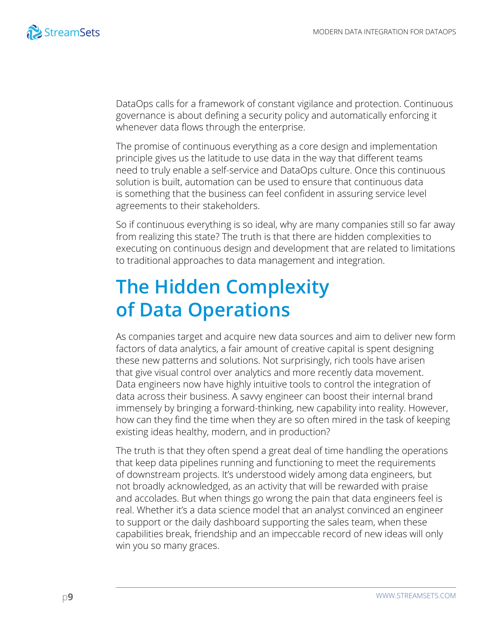

DataOps calls for a framework of constant vigilance and protection. Continuous governance is about defining a security policy and automatically enforcing it whenever data flows through the enterprise.

The promise of continuous everything as a core design and implementation principle gives us the latitude to use data in the way that different teams need to truly enable a self-service and DataOps culture. Once this continuous solution is built, automation can be used to ensure that continuous data is something that the business can feel confident in assuring service level agreements to their stakeholders.

So if continuous everything is so ideal, why are many companies still so far away from realizing this state? The truth is that there are hidden complexities to executing on continuous design and development that are related to limitations to traditional approaches to data management and integration.

# **The Hidden Complexity of Data Operations**

As companies target and acquire new data sources and aim to deliver new form factors of data analytics, a fair amount of creative capital is spent designing these new patterns and solutions. Not surprisingly, rich tools have arisen that give visual control over analytics and more recently data movement. Data engineers now have highly intuitive tools to control the integration of data across their business. A savvy engineer can boost their internal brand immensely by bringing a forward-thinking, new capability into reality. However, how can they find the time when they are so often mired in the task of keeping existing ideas healthy, modern, and in production?

The truth is that they often spend a great deal of time handling the operations that keep data pipelines running and functioning to meet the requirements of downstream projects. It's understood widely among data engineers, but not broadly acknowledged, as an activity that will be rewarded with praise and accolades. But when things go wrong the pain that data engineers feel is real. Whether it's a data science model that an analyst convinced an engineer to support or the daily dashboard supporting the sales team, when these capabilities break, friendship and an impeccable record of new ideas will only win you so many graces.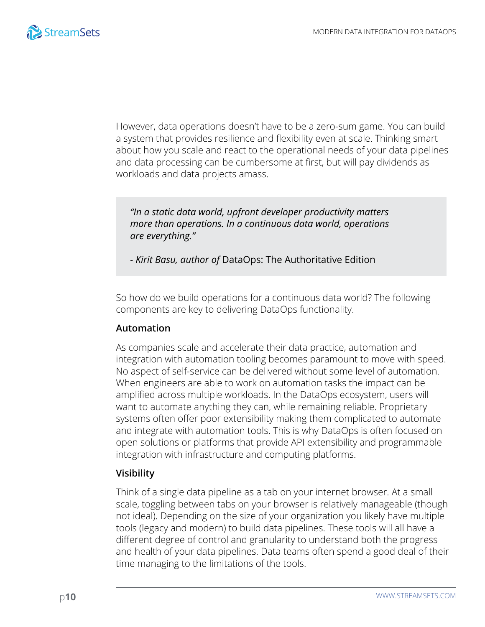

However, data operations doesn't have to be a zero-sum game. You can build a system that provides resilience and flexibility even at scale. Thinking smart about how you scale and react to the operational needs of your data pipelines and data processing can be cumbersome at first, but will pay dividends as workloads and data projects amass.

*"In a static data world, upfront developer productivity matters more than operations. In a continuous data world, operations are everything."*

*- Kirit Basu, author of* DataOps: The Authoritative Edition

So how do we build operations for a continuous data world? The following components are key to delivering DataOps functionality.

### **Automation**

As companies scale and accelerate their data practice, automation and integration with automation tooling becomes paramount to move with speed. No aspect of self-service can be delivered without some level of automation. When engineers are able to work on automation tasks the impact can be amplified across multiple workloads. In the DataOps ecosystem, users will want to automate anything they can, while remaining reliable. Proprietary systems often offer poor extensibility making them complicated to automate and integrate with automation tools. This is why DataOps is often focused on open solutions or platforms that provide API extensibility and programmable integration with infrastructure and computing platforms.

### **Visibility**

Think of a single data pipeline as a tab on your internet browser. At a small scale, toggling between tabs on your browser is relatively manageable (though not ideal). Depending on the size of your organization you likely have multiple tools (legacy and modern) to build data pipelines. These tools will all have a different degree of control and granularity to understand both the progress and health of your data pipelines. Data teams often spend a good deal of their time managing to the limitations of the tools.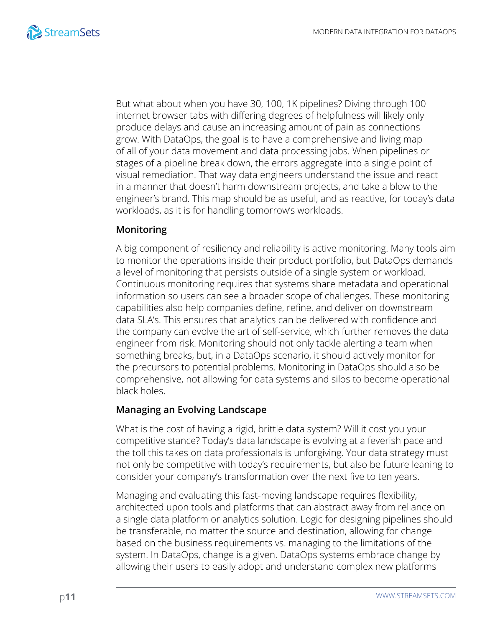

But what about when you have 30, 100, 1K pipelines? Diving through 100 internet browser tabs with differing degrees of helpfulness will likely only produce delays and cause an increasing amount of pain as connections grow. With DataOps, the goal is to have a comprehensive and living map of all of your data movement and data processing jobs. When pipelines or stages of a pipeline break down, the errors aggregate into a single point of visual remediation. That way data engineers understand the issue and react in a manner that doesn't harm downstream projects, and take a blow to the engineer's brand. This map should be as useful, and as reactive, for today's data workloads, as it is for handling tomorrow's workloads.

#### **Monitoring**

A big component of resiliency and reliability is active monitoring. Many tools aim to monitor the operations inside their product portfolio, but DataOps demands a level of monitoring that persists outside of a single system or workload. Continuous monitoring requires that systems share metadata and operational information so users can see a broader scope of challenges. These monitoring capabilities also help companies define, refine, and deliver on downstream data SLA's. This ensures that analytics can be delivered with confidence and the company can evolve the art of self-service, which further removes the data engineer from risk. Monitoring should not only tackle alerting a team when something breaks, but, in a DataOps scenario, it should actively monitor for the precursors to potential problems. Monitoring in DataOps should also be comprehensive, not allowing for data systems and silos to become operational black holes.

#### **Managing an Evolving Landscape**

What is the cost of having a rigid, brittle data system? Will it cost you your competitive stance? Today's data landscape is evolving at a feverish pace and the toll this takes on data professionals is unforgiving. Your data strategy must not only be competitive with today's requirements, but also be future leaning to consider your company's transformation over the next five to ten years.

Managing and evaluating this fast-moving landscape requires flexibility, architected upon tools and platforms that can abstract away from reliance on a single data platform or analytics solution. Logic for designing pipelines should be transferable, no matter the source and destination, allowing for change based on the business requirements vs. managing to the limitations of the system. In DataOps, change is a given. DataOps systems embrace change by allowing their users to easily adopt and understand complex new platforms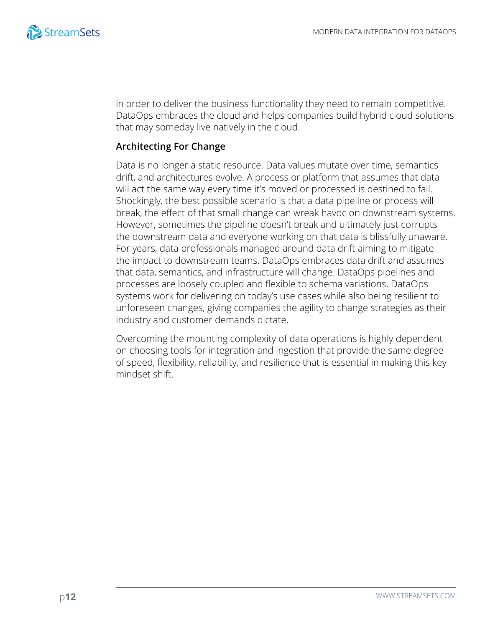

in order to deliver the business functionality they need to remain competitive. DataOps embraces the cloud and helps companies build hybrid cloud solutions that may someday live natively in the cloud.

#### **Architecting For Change**

Data is no longer a static resource. Data values mutate over time, semantics drift, and architectures evolve. A process or platform that assumes that data will act the same way every time it's moved or processed is destined to fail. Shockingly, the best possible scenario is that a data pipeline or process will break, the effect of that small change can wreak havoc on downstream systems. However, sometimes the pipeline doesn't break and ultimately just corrupts the downstream data and everyone working on that data is blissfully unaware. For years, data professionals managed around data drift aiming to mitigate the impact to downstream teams. DataOps embraces data drift and assumes that data, semantics, and infrastructure will change. DataOps pipelines and processes are loosely coupled and flexible to schema variations. DataOps systems work for delivering on today's use cases while also being resilient to unforeseen changes, giving companies the agility to change strategies as their industry and customer demands dictate.

Overcoming the mounting complexity of data operations is highly dependent on choosing tools for integration and ingestion that provide the same degree of speed, flexibility, reliability, and resilience that is essential in making this key mindset shift.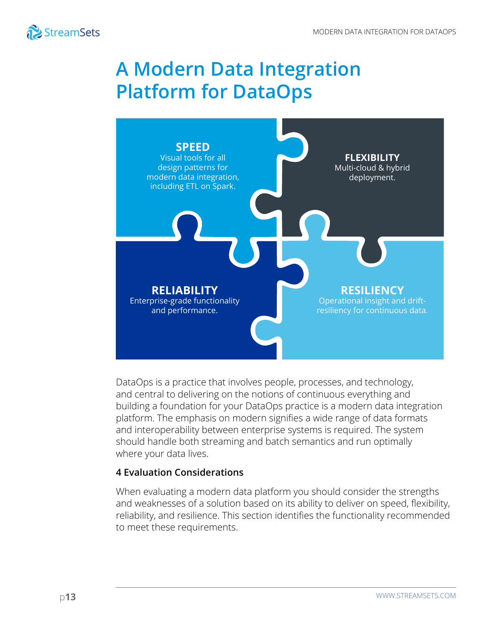

### **A Modern Data Integration Platform for DataOps**



DataOps is a practice that involves people, processes, and technology, and central to delivering on the notions of continuous everything and building a foundation for your DataOps practice is a modern data integration platform. The emphasis on modern signifies a wide range of data formats and interoperability between enterprise systems is required. The system should handle both streaming and batch semantics and run optimally where your data lives.

### **4 Evaluation Considerations**

When evaluating a modern data platform you should consider the strengths and weaknesses of a solution based on its ability to deliver on speed, flexibility, reliability, and resilience. This section identifies the functionality recommended to meet these requirements.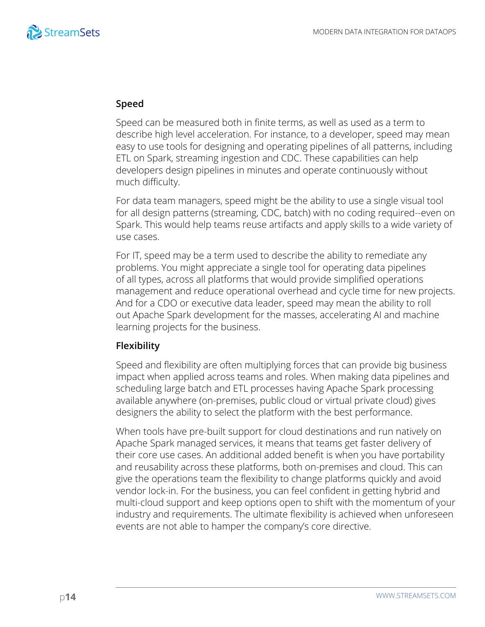

#### **Speed**

Speed can be measured both in finite terms, as well as used as a term to describe high level acceleration. For instance, to a developer, speed may mean easy to use tools for designing and operating pipelines of all patterns, including ETL on Spark, streaming ingestion and CDC. These capabilities can help developers design pipelines in minutes and operate continuously without much difficulty.

For data team managers, speed might be the ability to use a single visual tool for all design patterns (streaming, CDC, batch) with no coding required--even on Spark. This would help teams reuse artifacts and apply skills to a wide variety of use cases.

For IT, speed may be a term used to describe the ability to remediate any problems. You might appreciate a single tool for operating data pipelines of all types, across all platforms that would provide simplified operations management and reduce operational overhead and cycle time for new projects. And for a CDO or executive data leader, speed may mean the ability to roll out Apache Spark development for the masses, accelerating AI and machine learning projects for the business.

#### **Flexibility**

Speed and flexibility are often multiplying forces that can provide big business impact when applied across teams and roles. When making data pipelines and scheduling large batch and ETL processes having Apache Spark processing available anywhere (on-premises, public cloud or virtual private cloud) gives designers the ability to select the platform with the best performance.

When tools have pre-built support for cloud destinations and run natively on Apache Spark managed services, it means that teams get faster delivery of their core use cases. An additional added benefit is when you have portability and reusability across these platforms, both on-premises and cloud. This can give the operations team the flexibility to change platforms quickly and avoid vendor lock-in. For the business, you can feel confident in getting hybrid and multi-cloud support and keep options open to shift with the momentum of your industry and requirements. The ultimate flexibility is achieved when unforeseen events are not able to hamper the company's core directive.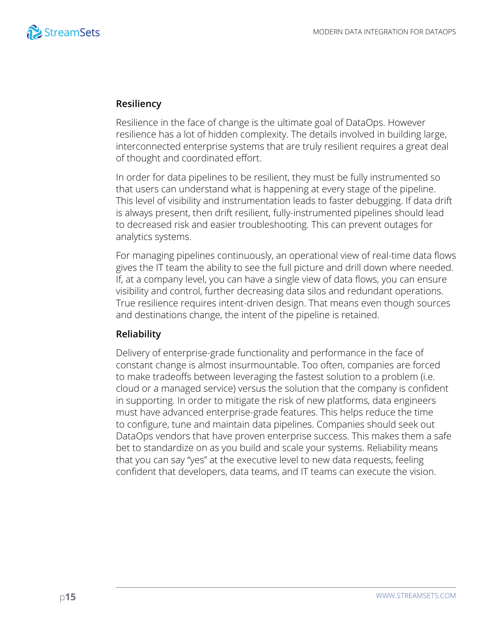

#### **Resiliency**

Resilience in the face of change is the ultimate goal of DataOps. However resilience has a lot of hidden complexity. The details involved in building large, interconnected enterprise systems that are truly resilient requires a great deal of thought and coordinated effort.

In order for data pipelines to be resilient, they must be fully instrumented so that users can understand what is happening at every stage of the pipeline. This level of visibility and instrumentation leads to faster debugging. If data drift is always present, then drift resilient, fully-instrumented pipelines should lead to decreased risk and easier troubleshooting. This can prevent outages for analytics systems.

For managing pipelines continuously, an operational view of real-time data flows gives the IT team the ability to see the full picture and drill down where needed. If, at a company level, you can have a single view of data flows, you can ensure visibility and control, further decreasing data silos and redundant operations. True resilience requires intent-driven design. That means even though sources and destinations change, the intent of the pipeline is retained.

#### **Reliability**

Delivery of enterprise-grade functionality and performance in the face of constant change is almost insurmountable. Too often, companies are forced to make tradeoffs between leveraging the fastest solution to a problem (i.e. cloud or a managed service) versus the solution that the company is confident in supporting. In order to mitigate the risk of new platforms, data engineers must have advanced enterprise-grade features. This helps reduce the time to configure, tune and maintain data pipelines. Companies should seek out DataOps vendors that have proven enterprise success. This makes them a safe bet to standardize on as you build and scale your systems. Reliability means that you can say "yes" at the executive level to new data requests, feeling confident that developers, data teams, and IT teams can execute the vision.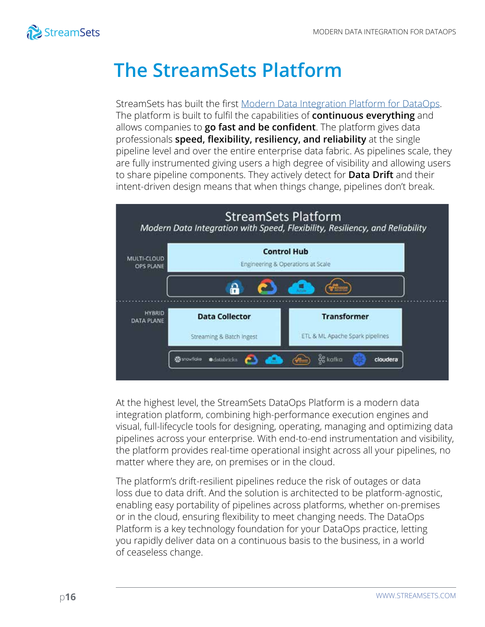

## **The StreamSets Platform**

StreamSets has built the first [Modern Data Integration Platform for DataOps](https://www.youtube.com/watch?v=V35ltYqtjIk). The platform is built to fulfil the capabilities of **continuous everything** and allows companies to **go fast and be confident**. The platform gives data professionals **speed, flexibility, resiliency, and reliability** at the single pipeline level and over the entire enterprise data fabric. As pipelines scale, they are fully instrumented giving users a high degree of visibility and allowing users to share pipeline components. They actively detect for **Data Drift** and their intent-driven design means that when things change, pipelines don't break.



At the highest level, the StreamSets DataOps Platform is a modern data integration platform, combining high-performance execution engines and visual, full-lifecycle tools for designing, operating, managing and optimizing data pipelines across your enterprise. With end-to-end instrumentation and visibility, the platform provides real-time operational insight across all your pipelines, no matter where they are, on premises or in the cloud.

The platform's drift-resilient pipelines reduce the risk of outages or data loss due to data drift. And the solution is architected to be platform-agnostic, enabling easy portability of pipelines across platforms, whether on-premises or in the cloud, ensuring flexibility to meet changing needs. The DataOps Platform is a key technology foundation for your DataOps practice, letting you rapidly deliver data on a continuous basis to the business, in a world of ceaseless change.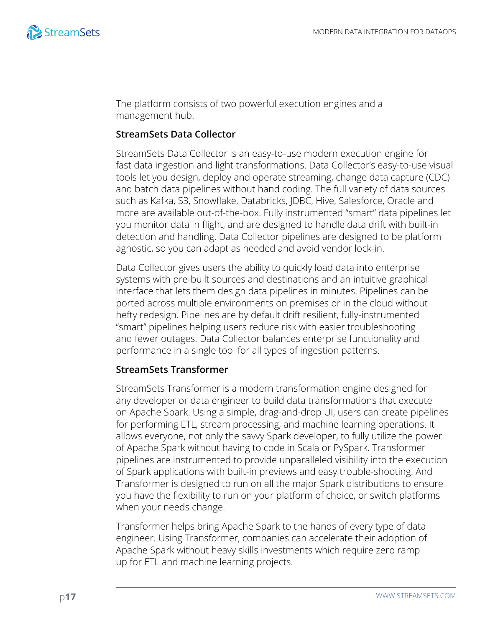

The platform consists of two powerful execution engines and a management hub.

#### **StreamSets Data Collector**

StreamSets Data Collector is an easy-to-use modern execution engine for fast data ingestion and light transformations. Data Collector's easy-to-use visual tools let you design, deploy and operate streaming, change data capture (CDC) and batch data pipelines without hand coding. The full variety of data sources such as Kafka, S3, Snowflake, Databricks, JDBC, Hive, Salesforce, Oracle and more are available out-of-the-box. Fully instrumented "smart" data pipelines let you monitor data in flight, and are designed to handle data drift with built-in detection and handling. Data Collector pipelines are designed to be platform agnostic, so you can adapt as needed and avoid vendor lock-in.

Data Collector gives users the ability to quickly load data into enterprise systems with pre-built sources and destinations and an intuitive graphical interface that lets them design data pipelines in minutes. Pipelines can be ported across multiple environments on premises or in the cloud without hefty redesign. Pipelines are by default drift resilient, fully-instrumented "smart" pipelines helping users reduce risk with easier troubleshooting and fewer outages. Data Collector balances enterprise functionality and performance in a single tool for all types of ingestion patterns.

#### **StreamSets Transformer**

StreamSets Transformer is a modern transformation engine designed for any developer or data engineer to build data transformations that execute on Apache Spark. Using a simple, drag-and-drop UI, users can create pipelines for performing ETL, stream processing, and machine learning operations. It allows everyone, not only the savvy Spark developer, to fully utilize the power of Apache Spark without having to code in Scala or PySpark. Transformer pipelines are instrumented to provide unparalleled visibility into the execution of Spark applications with built-in previews and easy trouble-shooting. And Transformer is designed to run on all the major Spark distributions to ensure you have the flexibility to run on your platform of choice, or switch platforms when your needs change.

Transformer helps bring Apache Spark to the hands of every type of data engineer. Using Transformer, companies can accelerate their adoption of Apache Spark without heavy skills investments which require zero ramp up for ETL and machine learning projects.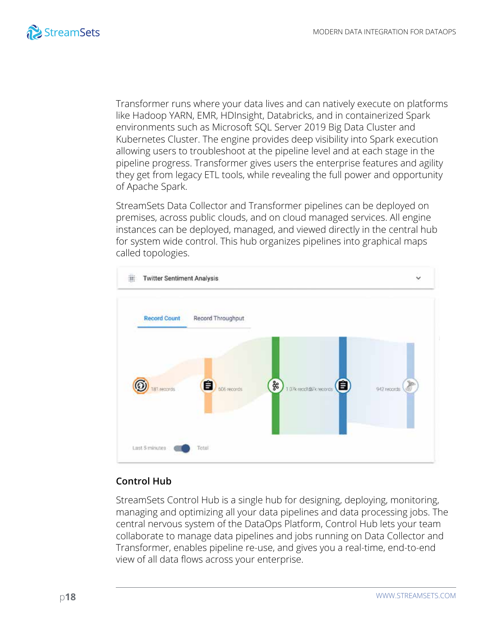

Transformer runs where your data lives and can natively execute on platforms like Hadoop YARN, EMR, HDInsight, Databricks, and in containerized Spark environments such as Microsoft SQL Server 2019 Big Data Cluster and Kubernetes Cluster. The engine provides deep visibility into Spark execution allowing users to troubleshoot at the pipeline level and at each stage in the pipeline progress. Transformer gives users the enterprise features and agility they get from legacy ETL tools, while revealing the full power and opportunity of Apache Spark.

StreamSets Data Collector and Transformer pipelines can be deployed on premises, across public clouds, and on cloud managed services. All engine instances can be deployed, managed, and viewed directly in the central hub for system wide control. This hub organizes pipelines into graphical maps called topologies.



### **Control Hub**

StreamSets Control Hub is a single hub for designing, deploying, monitoring, managing and optimizing all your data pipelines and data processing jobs. The central nervous system of the DataOps Platform, Control Hub lets your team collaborate to manage data pipelines and jobs running on Data Collector and Transformer, enables pipeline re-use, and gives you a real-time, end-to-end view of all data flows across your enterprise.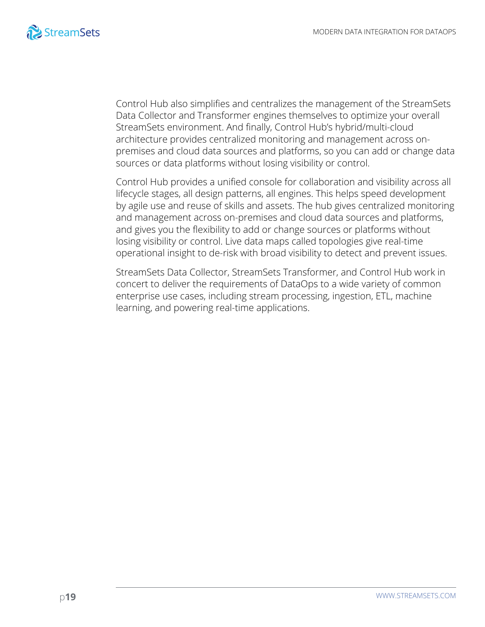

Control Hub also simplifies and centralizes the management of the StreamSets Data Collector and Transformer engines themselves to optimize your overall StreamSets environment. And finally, Control Hub's hybrid/multi-cloud architecture provides centralized monitoring and management across onpremises and cloud data sources and platforms, so you can add or change data sources or data platforms without losing visibility or control.

Control Hub provides a unified console for collaboration and visibility across all lifecycle stages, all design patterns, all engines. This helps speed development by agile use and reuse of skills and assets. The hub gives centralized monitoring and management across on-premises and cloud data sources and platforms, and gives you the flexibility to add or change sources or platforms without losing visibility or control. Live data maps called topologies give real-time operational insight to de-risk with broad visibility to detect and prevent issues.

StreamSets Data Collector, StreamSets Transformer, and Control Hub work in concert to deliver the requirements of DataOps to a wide variety of common enterprise use cases, including stream processing, ingestion, ETL, machine learning, and powering real-time applications.